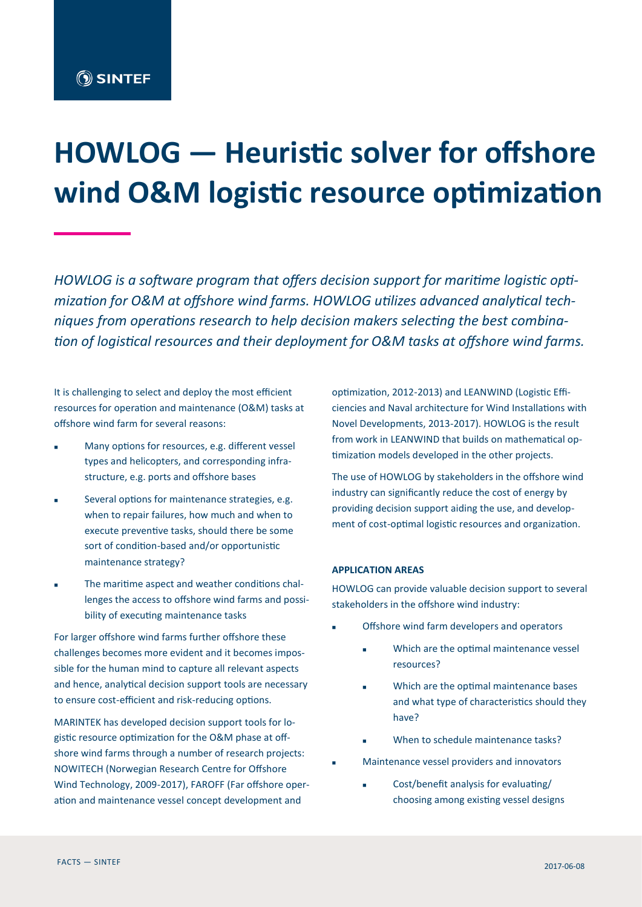# **HOWLOG — Heuristic solver for offshore wind O&M logistic resource optimization**

*HOWLOG is a software program that offers decision support for maritime logistic optimization for O&M at offshore wind farms. HOWLOG utilizes advanced analytical techniques from operations research to help decision makers selecting the best combination of logistical resources and their deployment for O&M tasks at offshore wind farms.*

It is challenging to select and deploy the most efficient resources for operation and maintenance (O&M) tasks at offshore wind farm for several reasons:

- Many options for resources, e.g. different vessel types and helicopters, and corresponding infrastructure, e.g. ports and offshore bases
- Several options for maintenance strategies, e.g. when to repair failures, how much and when to execute preventive tasks, should there be some sort of condition-based and/or opportunistic maintenance strategy?
- The maritime aspect and weather conditions challenges the access to offshore wind farms and possibility of executing maintenance tasks

For larger offshore wind farms further offshore these challenges becomes more evident and it becomes impossible for the human mind to capture all relevant aspects and hence, analytical decision support tools are necessary to ensure cost-efficient and risk-reducing options.

MARINTEK has developed decision support tools for logistic resource optimization for the O&M phase at offshore wind farms through a number of research projects: NOWITECH (Norwegian Research Centre for Offshore Wind Technology, 2009-2017), FAROFF (Far offshore operation and maintenance vessel concept development and

optimization, 2012-2013) and LEANWIND (Logistic Efficiencies and Naval architecture for Wind Installations with Novel Developments, 2013-2017). HOWLOG is the result from work in LEANWIND that builds on mathematical optimization models developed in the other projects.

The use of HOWLOG by stakeholders in the offshore wind industry can significantly reduce the cost of energy by providing decision support aiding the use, and development of cost-optimal logistic resources and organization.

# **APPLICATION AREAS**

HOWLOG can provide valuable decision support to several stakeholders in the offshore wind industry:

- Offshore wind farm developers and operators
	- Which are the optimal maintenance vessel resources?
	- Which are the optimal maintenance bases and what type of characteristics should they have?
	- When to schedule maintenance tasks?
- Maintenance vessel providers and innovators
	- Cost/benefit analysis for evaluating/ choosing among existing vessel designs